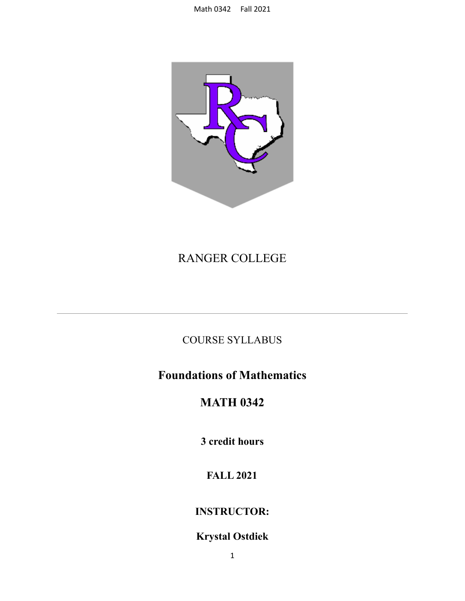

# RANGER COLLEGE

## COURSE SYLLABUS

# **Foundations of Mathematics**

## **MATH 0342**

**3 credit hours**

## **FALL 2021**

## **INSTRUCTOR:**

## **Krystal Ostdiek**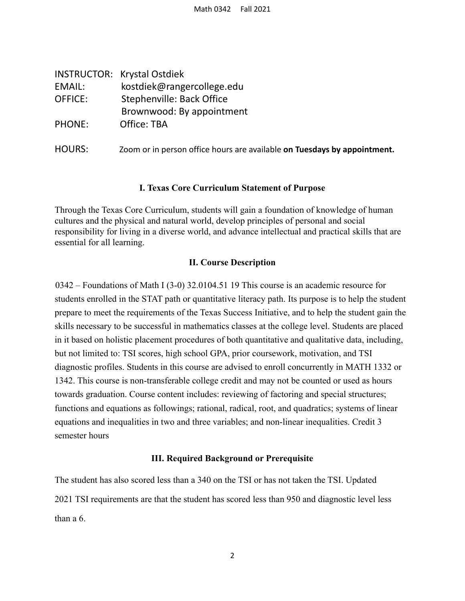|               | <b>INSTRUCTOR: Krystal Ostdiek</b>                                       |
|---------------|--------------------------------------------------------------------------|
| EMAIL:        | kostdiek@rangercollege.edu                                               |
| OFFICE:       | Stephenville: Back Office                                                |
|               | Brownwood: By appointment                                                |
| <b>PHONE:</b> | Office: TBA                                                              |
| HOURS:        | Zoom or in person office hours are available on Tuesdays by appointment. |
|               |                                                                          |

#### **I. Texas Core Curriculum Statement of Purpose**

Through the Texas Core Curriculum, students will gain a foundation of knowledge of human cultures and the physical and natural world, develop principles of personal and social responsibility for living in a diverse world, and advance intellectual and practical skills that are essential for all learning.

#### **II. Course Description**

0342 – Foundations of Math I (3-0) 32.0104.51 19 This course is an academic resource for students enrolled in the STAT path or quantitative literacy path. Its purpose is to help the student prepare to meet the requirements of the Texas Success Initiative, and to help the student gain the skills necessary to be successful in mathematics classes at the college level. Students are placed in it based on holistic placement procedures of both quantitative and qualitative data, including, but not limited to: TSI scores, high school GPA, prior coursework, motivation, and TSI diagnostic profiles. Students in this course are advised to enroll concurrently in MATH 1332 or 1342. This course is non-transferable college credit and may not be counted or used as hours towards graduation. Course content includes: reviewing of factoring and special structures; functions and equations as followings; rational, radical, root, and quadratics; systems of linear equations and inequalities in two and three variables; and non-linear inequalities. Credit 3 semester hours

#### **III. Required Background or Prerequisite**

The student has also scored less than a 340 on the TSI or has not taken the TSI. Updated 2021 TSI requirements are that the student has scored less than 950 and diagnostic level less than a 6.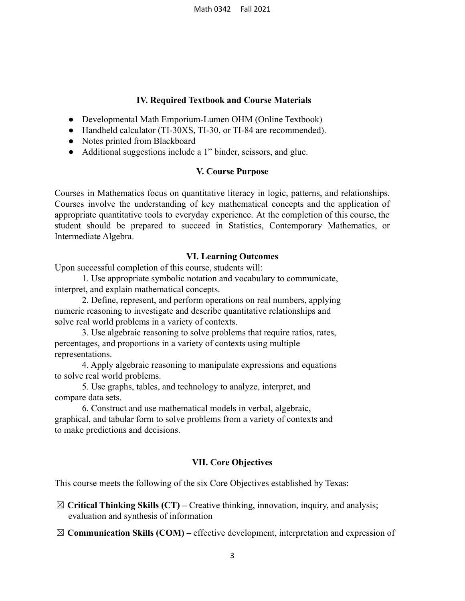#### **IV. Required Textbook and Course Materials**

- Developmental Math Emporium-Lumen OHM (Online Textbook)
- Handheld calculator (TI-30XS, TI-30, or TI-84 are recommended).
- Notes printed from Blackboard
- Additional suggestions include a 1" binder, scissors, and glue.

#### **V. Course Purpose**

Courses in Mathematics focus on quantitative literacy in logic, patterns, and relationships. Courses involve the understanding of key mathematical concepts and the application of appropriate quantitative tools to everyday experience. At the completion of this course, the student should be prepared to succeed in Statistics, Contemporary Mathematics, or Intermediate Algebra.

#### **VI. Learning Outcomes**

Upon successful completion of this course, students will:

1. Use appropriate symbolic notation and vocabulary to communicate, interpret, and explain mathematical concepts.

2. Define, represent, and perform operations on real numbers, applying numeric reasoning to investigate and describe quantitative relationships and solve real world problems in a variety of contexts.

3. Use algebraic reasoning to solve problems that require ratios, rates, percentages, and proportions in a variety of contexts using multiple representations.

4. Apply algebraic reasoning to manipulate expressions and equations to solve real world problems.

5. Use graphs, tables, and technology to analyze, interpret, and compare data sets.

6. Construct and use mathematical models in verbal, algebraic, graphical, and tabular form to solve problems from a variety of contexts and to make predictions and decisions.

#### **VII. Core Objectives**

This course meets the following of the six Core Objectives established by Texas:

☒ **Critical Thinking Skills (CT) –** Creative thinking, innovation, inquiry, and analysis; evaluation and synthesis of information

☒ **Communication Skills (COM) –** effective development, interpretation and expression of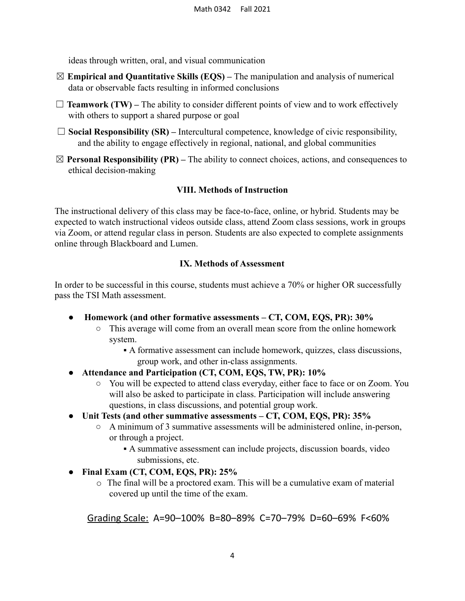ideas through written, oral, and visual communication

- ☒ **Empirical and Quantitative Skills (EQS) –** The manipulation and analysis of numerical data or observable facts resulting in informed conclusions
- $\Box$  **Teamwork (TW)** The ability to consider different points of view and to work effectively with others to support a shared purpose or goal
- □ **Social Responsibility (SR)** Intercultural competence, knowledge of civic responsibility, and the ability to engage effectively in regional, national, and global communities
- $\boxtimes$  **Personal Responsibility (PR)** The ability to connect choices, actions, and consequences to ethical decision-making

#### **VIII. Methods of Instruction**

The instructional delivery of this class may be face-to-face, online, or hybrid. Students may be expected to watch instructional videos outside class, attend Zoom class sessions, work in groups via Zoom, or attend regular class in person. Students are also expected to complete assignments online through Blackboard and Lumen.

#### **IX. Methods of Assessment**

In order to be successful in this course, students must achieve a 70% or higher OR successfully pass the TSI Math assessment.

- **Homework (and other formative assessments CT, COM, EQS, PR): 30%**
	- This average will come from an overall mean score from the online homework system.
		- A formative assessment can include homework, quizzes, class discussions, group work, and other in-class assignments.
- **● Attendance and Participation (CT, COM, EQS, TW, PR): 10%**
	- You will be expected to attend class everyday, either face to face or on Zoom. You will also be asked to participate in class. Participation will include answering questions, in class discussions, and potential group work.
- **● Unit Tests (and other summative assessments CT, COM, EQS, PR): 35%**
	- A minimum of 3 summative assessments will be administered online, in-person, or through a project.
		- A summative assessment can include projects, discussion boards, video submissions, etc.
- **● Final Exam (CT, COM, EQS, PR): 25%**
	- o The final will be a proctored exam. This will be a cumulative exam of material covered up until the time of the exam.

Grading Scale: A=90–100% B=80–89% C=70–79% D=60–69% F<60%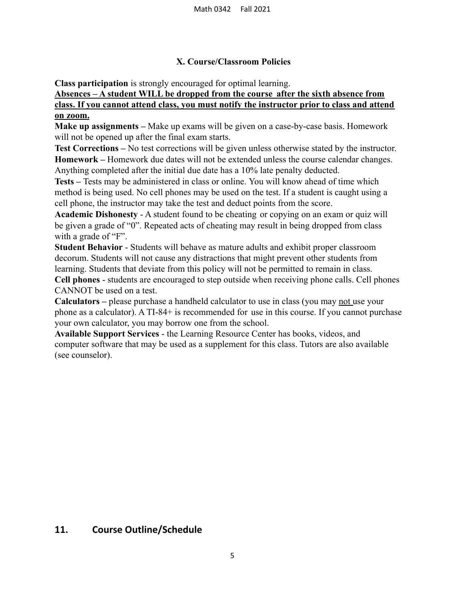#### **X. Course/Classroom Policies**

**Class participation** is strongly encouraged for optimal learning.

#### **Absences – A student WILL be dropped from the course after the sixth absence from class. If you cannot attend class, you must notify the instructor prior to class and attend on zoom.**

**Make up assignments –** Make up exams will be given on a case-by-case basis. Homework will not be opened up after the final exam starts.

**Test Corrections –** No test corrections will be given unless otherwise stated by the instructor. **Homework –** Homework due dates will not be extended unless the course calendar changes. Anything completed after the initial due date has a 10% late penalty deducted.

**Tests –** Tests may be administered in class or online. You will know ahead of time which method is being used. No cell phones may be used on the test. If a student is caught using a cell phone, the instructor may take the test and deduct points from the score.

**Academic Dishonesty** - A student found to be cheating or copying on an exam or quiz will be given a grade of "0". Repeated acts of cheating may result in being dropped from class with a grade of "F".

**Student Behavior** - Students will behave as mature adults and exhibit proper classroom decorum. Students will not cause any distractions that might prevent other students from learning. Students that deviate from this policy will not be permitted to remain in class.

**Cell phones** - students are encouraged to step outside when receiving phone calls. Cell phones CANNOT be used on a test.

**Calculators –** please purchase a handheld calculator to use in class (you may not use your phone as a calculator). A TI-84+ is recommended for use in this course. If you cannot purchase your own calculator, you may borrow one from the school.

**Available Support Services** - the Learning Resource Center has books, videos, and computer software that may be used as a supplement for this class. Tutors are also available (see counselor).

### **11. Course Outline/Schedule**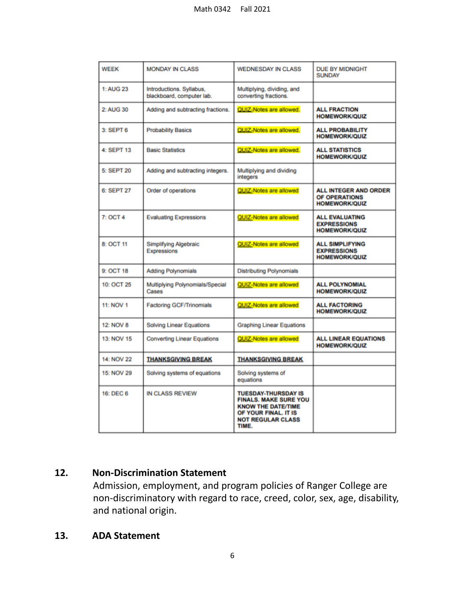| <b>WEEK</b>      | <b>MONDAY IN CLASS</b>                                | <b>WEDNESDAY IN CLASS</b>                                                                                                                            | <b>DUE BY MIDNIGHT</b><br><b>SUNDAY</b>                               |
|------------------|-------------------------------------------------------|------------------------------------------------------------------------------------------------------------------------------------------------------|-----------------------------------------------------------------------|
| 1: AUG 23        | Introductions. Syllabus,<br>blackboard, computer lab. | Multiplying, dividing, and<br>converting fractions.                                                                                                  |                                                                       |
| 2: AUG 30        | Adding and subtracting fractions.                     | QUIZ-Notes are allowed.                                                                                                                              | <b>ALL FRACTION</b><br><b>HOMEWORK/QUIZ</b>                           |
| $3:$ SEPT $6$    | <b>Probability Basics</b>                             | QUIZ-Notes are allowed.                                                                                                                              | <b>ALL PROBABILITY</b><br><b>HOMEWORK/QUIZ</b>                        |
| 4: SEPT 13       | <b>Basic Statistics</b>                               | QUIZ-Notes are allowed.                                                                                                                              | <b>ALL STATISTICS</b><br><b>HOMEWORK/QUIZ</b>                         |
| 5: SEPT 20       | Adding and subtracting integers.                      | Multiplying and dividing<br>integers                                                                                                                 |                                                                       |
| 6: SEPT 27       | Order of operations                                   | QUIZ-Notes are allowed                                                                                                                               | <b>ALL INTEGER AND ORDER</b><br>OF OPERATIONS<br><b>HOMEWORK/QUIZ</b> |
| 7: OCT 4         | <b>Evaluating Expressions</b>                         | QUIZ-Notes are allowed                                                                                                                               | <b>ALL EVALUATING</b><br><b>EXPRESSIONS</b><br><b>HOMEWORK/QUIZ</b>   |
| 8: OCT 11        | <b>Simplifying Algebraic</b><br>Expressions           | QUIZ-Notes are allowed                                                                                                                               | <b>ALL SIMPLIFYING</b><br><b>EXPRESSIONS</b><br><b>HOMEWORK/QUIZ</b>  |
| 9: OCT 18        | <b>Adding Polynomials</b>                             | <b>Distributing Polynomials</b>                                                                                                                      |                                                                       |
| 10: OCT 25       | Multiplying Polynomials/Special<br>Cases              | QUIZ-Notes are allowed                                                                                                                               | <b>ALL POLYNOMIAL</b><br><b>HOMEWORK/QUIZ</b>                         |
| <b>11: NOV 1</b> | <b>Factoring GCF/Trinomials</b>                       | QUIZ-Notes are allowed                                                                                                                               | <b>ALL FACTORING</b><br><b>HOMEWORK/QUIZ</b>                          |
| <b>12: NOV 8</b> | <b>Solving Linear Equations</b>                       | <b>Graphing Linear Equations</b>                                                                                                                     |                                                                       |
| 13: NOV 15       | <b>Converting Linear Equations</b>                    | QUIZ-Notes are allowed                                                                                                                               | <b>ALL LINEAR EQUATIONS</b><br><b>HOMEWORK/QUIZ</b>                   |
| 14: NOV 22       | <b>THANKSGIVING BREAK</b>                             | <b>THANKSGIVING BREAK</b>                                                                                                                            |                                                                       |
| 15: NOV 29       | Solving systems of equations                          | Solving systems of<br>equations                                                                                                                      |                                                                       |
| 16: DEC 6        | <b>IN CLASS REVIEW</b>                                | <b>TUESDAY-THURSDAY IS</b><br><b>FINALS, MAKE SURE YOU</b><br><b>KNOW THE DATE/TIME</b><br>OF YOUR FINAL. IT IS<br><b>NOT REGULAR CLASS</b><br>TIME. |                                                                       |

### **12. Non-Discrimination Statement**

Admission, employment, and program policies of Ranger College are non-discriminatory with regard to race, creed, color, sex, age, disability, and national origin.

### **13. ADA Statement**